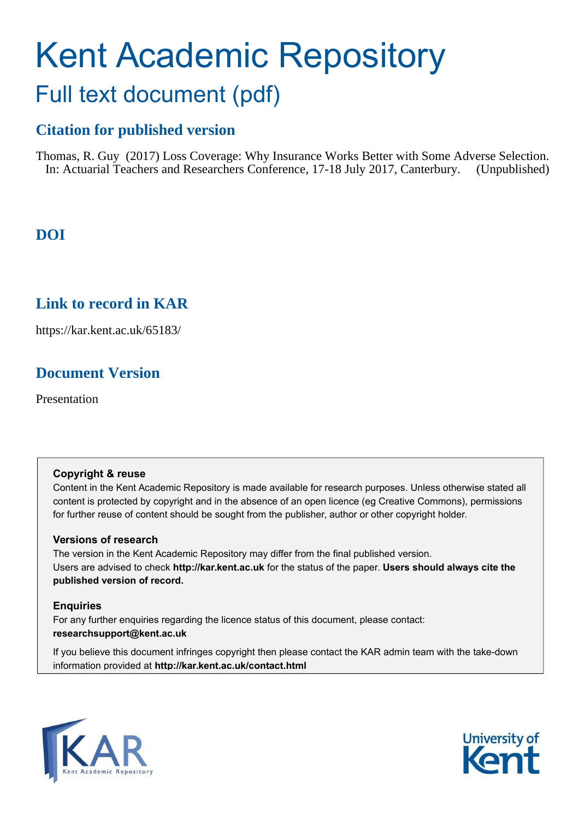## Kent Academic Repository Full text document (pdf)

#### **Citation for published version**

Thomas, R. Guy (2017) Loss Coverage: Why Insurance Works Better with Some Adverse Selection. In: Actuarial Teachers and Researchers Conference, 17-18 July 2017, Canterbury. (Unpublished)

#### **DOI**

#### **Link to record in KAR**

https://kar.kent.ac.uk/65183/

#### **Document Version**

Presentation

#### **Copyright & reuse**

Content in the Kent Academic Repository is made available for research purposes. Unless otherwise stated all content is protected by copyright and in the absence of an open licence (eg Creative Commons), permissions for further reuse of content should be sought from the publisher, author or other copyright holder.

#### **Versions of research**

The version in the Kent Academic Repository may differ from the final published version. Users are advised to check **http://kar.kent.ac.uk** for the status of the paper. **Users should always cite the published version of record.**

#### **Enquiries**

For any further enquiries regarding the licence status of this document, please contact: **researchsupport@kent.ac.uk**

If you believe this document infringes copyright then please contact the KAR admin team with the take-down information provided at **http://kar.kent.ac.uk/contact.html**



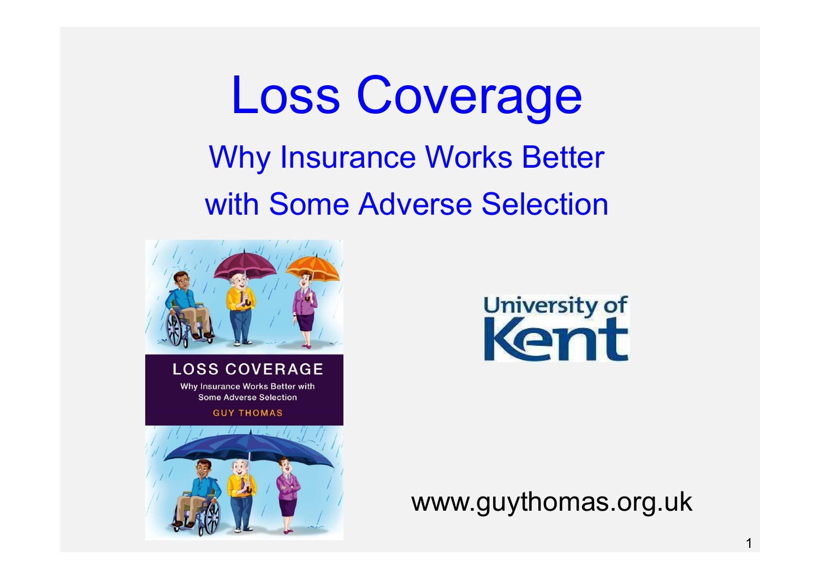# Loss Coverage

## Why Insurance Works Better with Some Adverse Selection



**LOSS COVERAGE** Why Insurance Works Better with

**Some Adverse Selection** 

**GUY THOMAS** 





www.guythomas.org.uk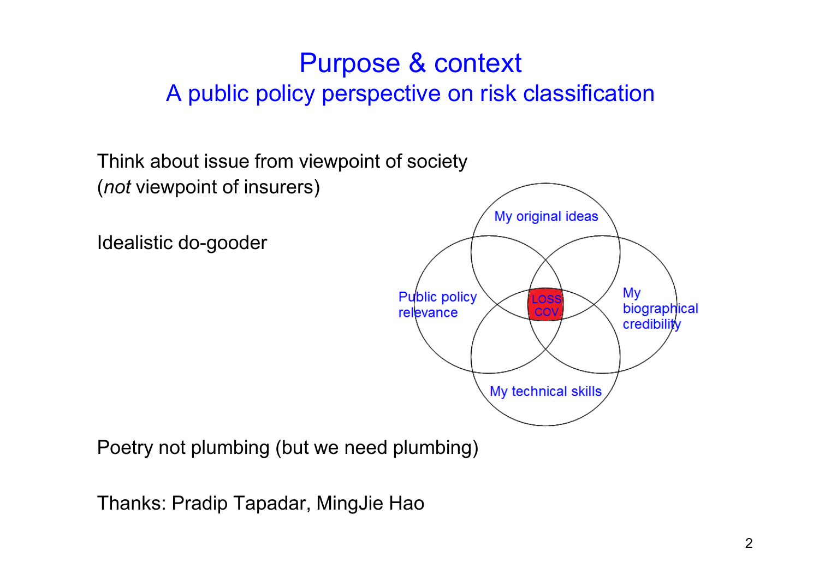#### Purpose & context A public policy perspective on risk classification

Think about issue from viewpoint of society (*not* viewpoint of insurers)

Idealistic do-gooder



Poetry not plumbing (but we need plumbing)

Thanks: Pradip Tapadar, MingJie Hao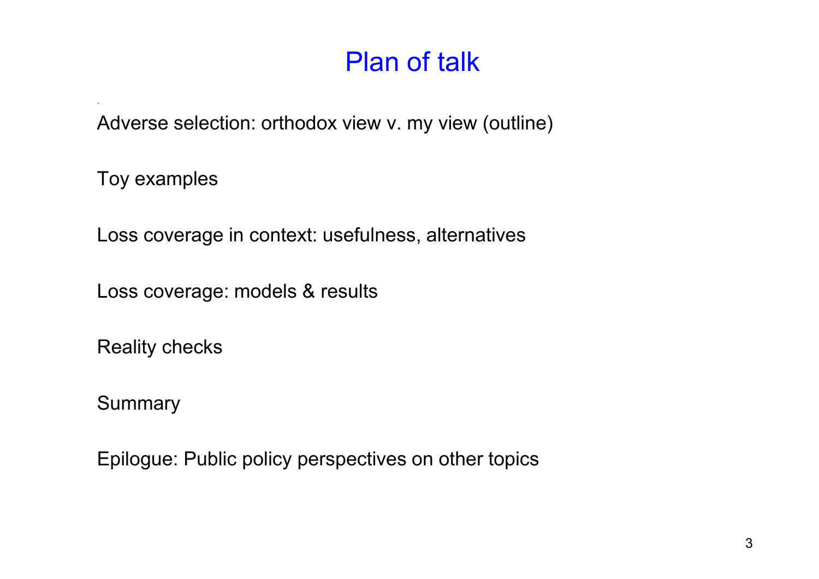Adverse selection: orthodox view v. my view (outline)

Toy examples

.

Loss coverage in context: usefulness, alternatives

Loss coverage: models & results

Reality checks

**Summary**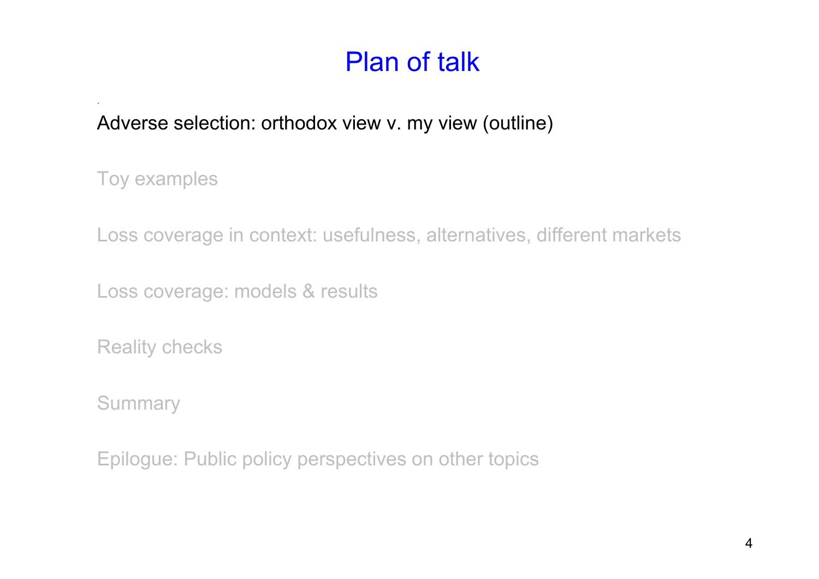#### Adverse selection: orthodox view v. my view (outline)

Toy examples

.

Loss coverage in context: usefulness, alternatives, different markets

Loss coverage: models & results

Reality checks

**Summary**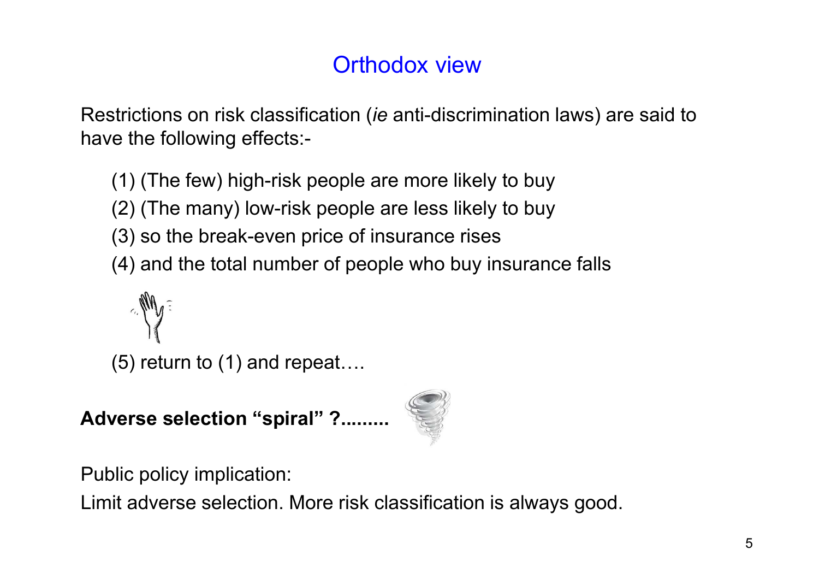#### Orthodox view

Restrictions on risk classification (*ie* anti-discrimination laws) are said to have the following effects:-

(1) (The few) high-risk people are more likely to buy

(2) (The many) low-risk people are less likely to buy

- (3) so the break-even price of insurance rises
- (4) and the total number of people who buy insurance falls

 $(5)$  return to  $(1)$  and repeat....

**Adverse selection "spiral" ?.........**



Public policy implication:

Limit adverse selection. More risk classification is always good.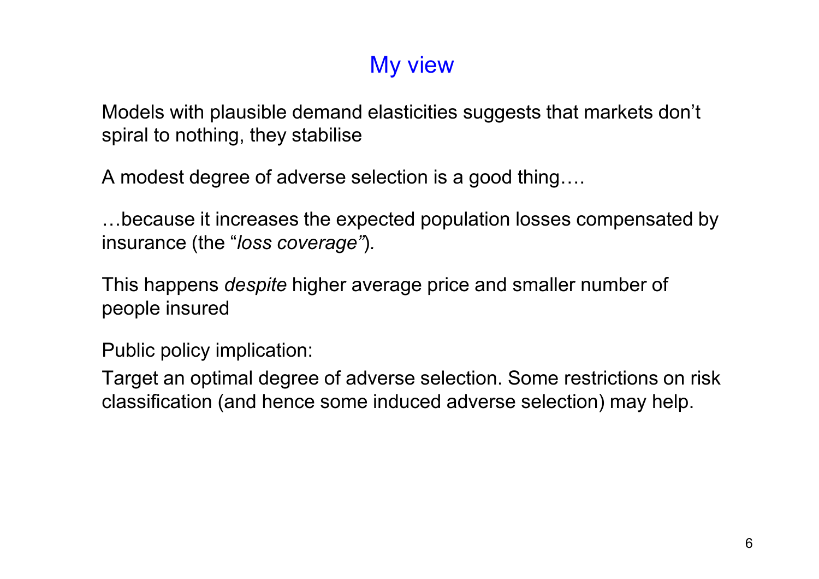#### My view

Models with plausible demand elasticities suggests that markets don't spiral to nothing, they stabilise

A modest degree of adverse selection is a good thing....

...because it increases the expected population losses compensated by insurance (the "*loss coverage"*)*.*

This happens *despite* higher average price and smaller number of people insured

Public policy implication:

Target an optimal degree of adverse selection. Some restrictions on risk classification (and hence some induced adverse selection) may help.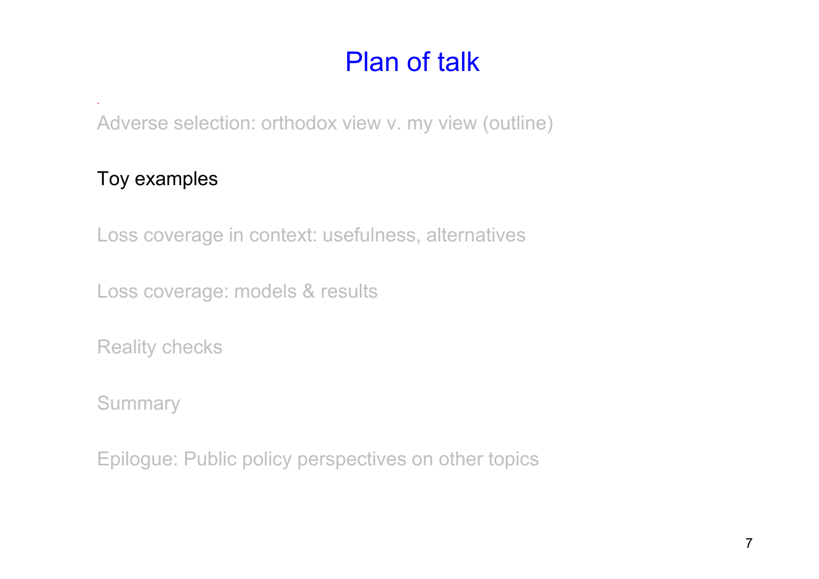Adverse selection: orthodox view v. my view (outline)

#### Toy examples

.

Loss coverage in context: usefulness, alternatives

Loss coverage: models & results

Reality checks

**Summary**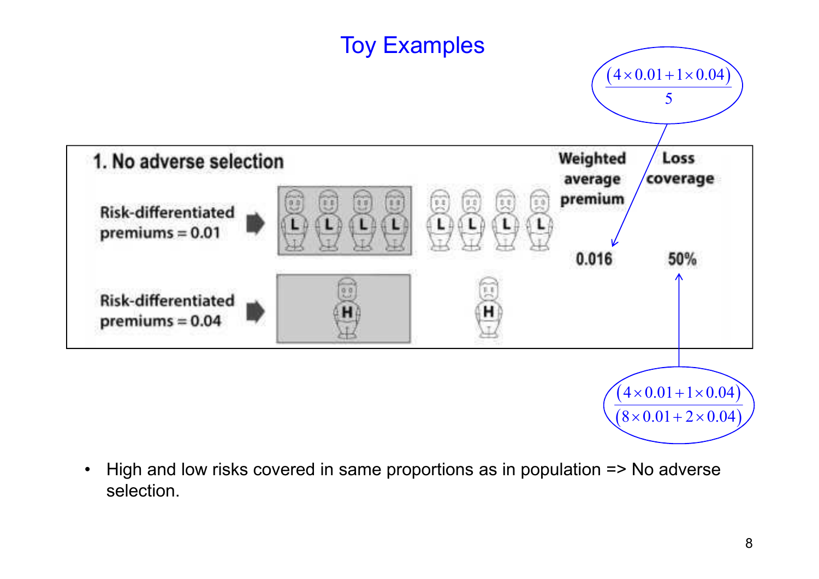

• High and low risks covered in same proportions as in population => No adverse selection.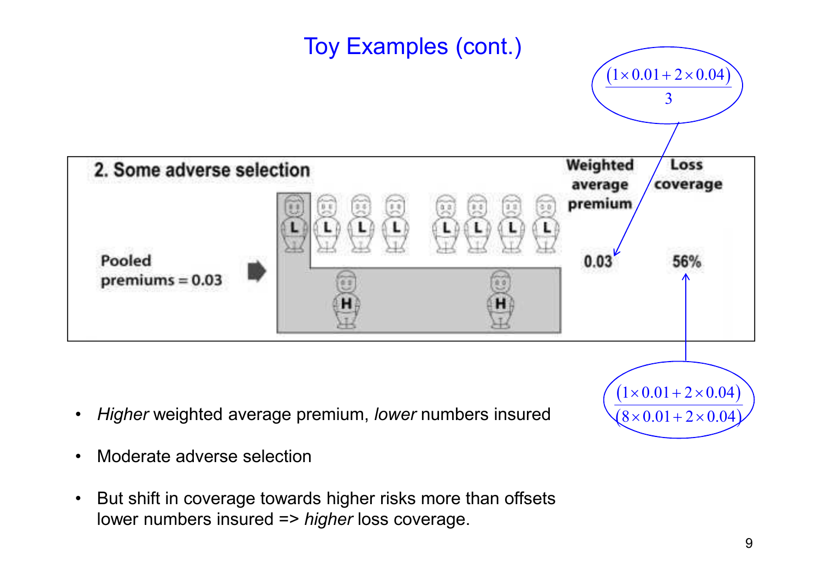

- 
- But shift in coverage towards higher risks more than offsets lower numbers insured => *higher* loss coverage.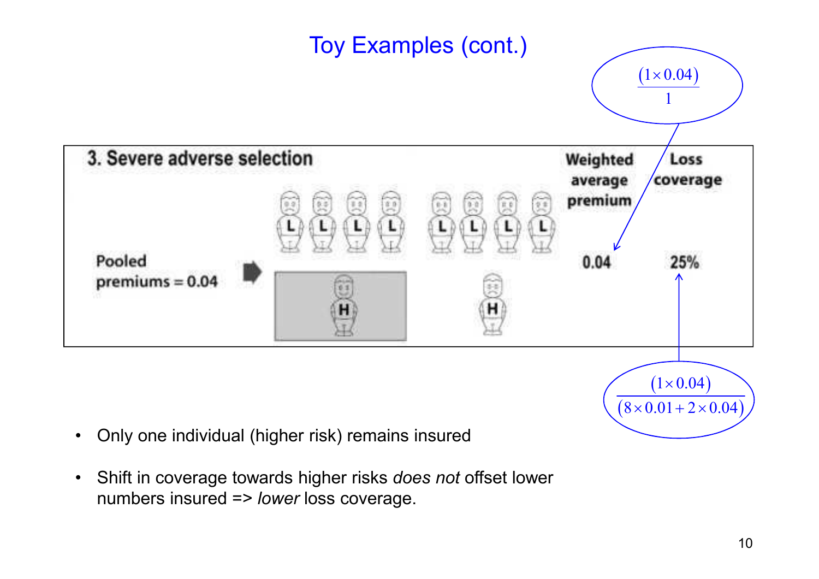

• Shift in coverage towards higher risks *does not* offset lower numbers insured => *lower* loss coverage.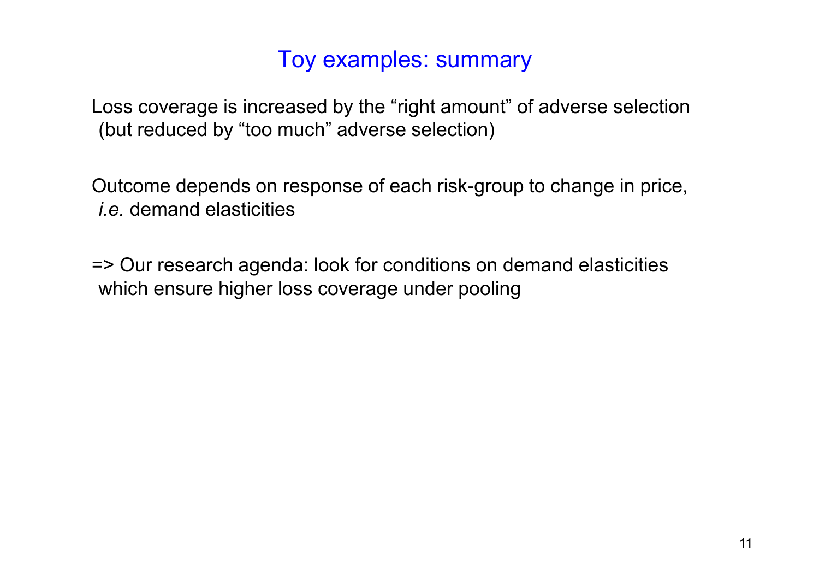#### Toy examples: summary

Loss coverage is increased by the "right amount" of adverse selection (but reduced by "too much" adverse selection)

Outcome depends on response of each risk-group to change in price, *i.e.* demand elasticities

=> Our research agenda: look for conditions on demand elasticities which ensure higher loss coverage under pooling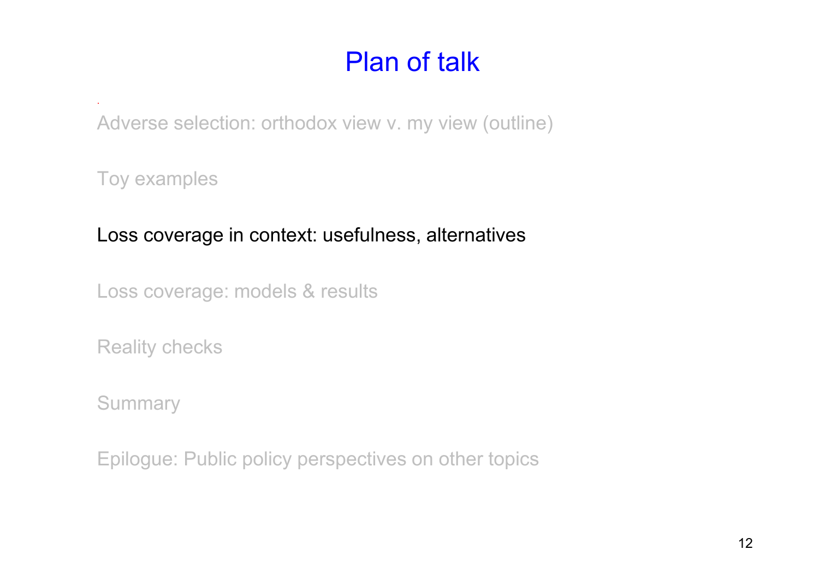Adverse selection: orthodox view v. my view (outline)

Toy examples

.

#### Loss coverage in context: usefulness, alternatives

Loss coverage: models & results

Reality checks

**Summary**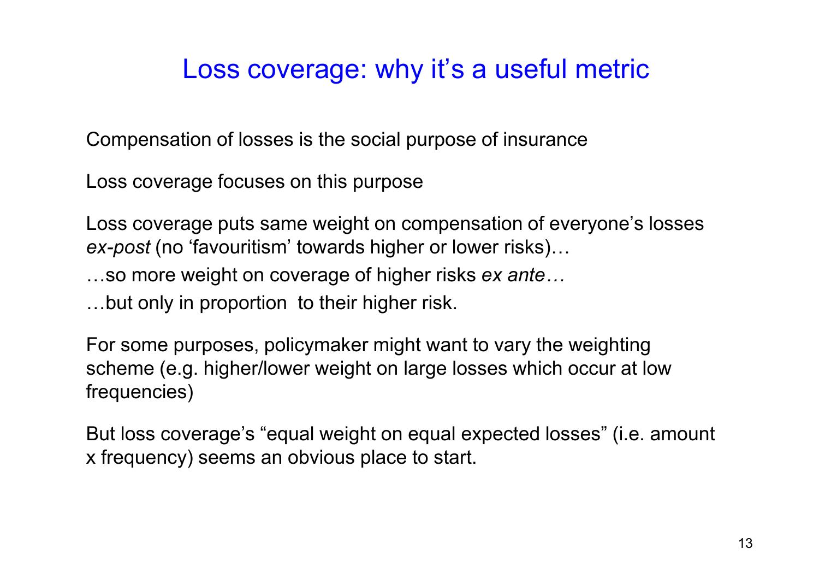#### Loss coverage: why it's a useful metric

Compensation of losses is the social purpose of insurance

Loss coverage focuses on this purpose

Loss coverage puts same weight on compensation of everyone's losses *ex-post* (no 'favouritism' towards higher or lower risks)...

...so more weight on coverage of higher risks *ex ante...* 

...but only in proportion to their higher risk.

For some purposes, policymaker might want to vary the weighting scheme (e.g. higher/lower weight on large losses which occur at low frequencies)

But loss coverage's "equal weight on equal expected losses" (i.e. amount x frequency) seems an obvious place to start.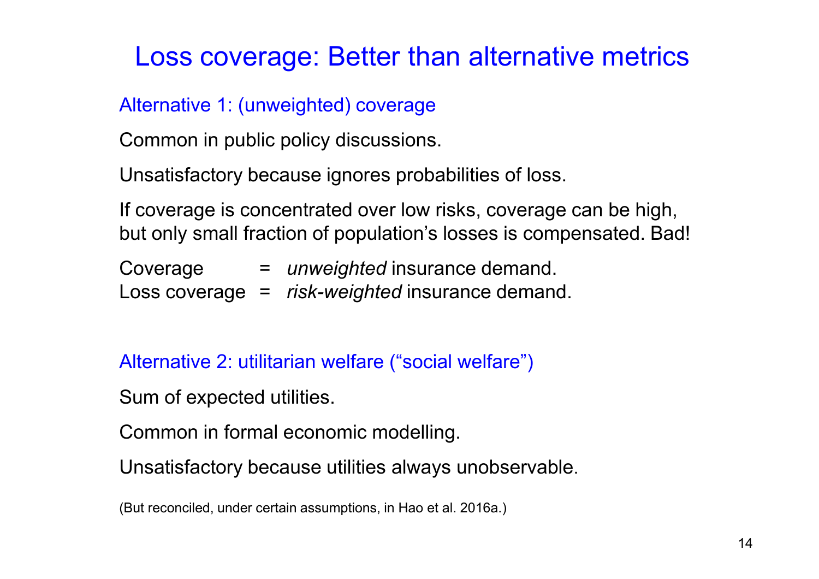#### Loss coverage: Better than alternative metrics

#### Alternative 1: (unweighted) coverage

Common in public policy discussions.

Unsatisfactory because ignores probabilities of loss.

If coverage is concentrated over low risks, coverage can be high, but only small fraction of population's losses is compensated. Bad!

Coverage = *unweighted* insurance demand. Loss coverage = *risk-weighted* insurance demand.

Alternative 2: utilitarian welfare ("social welfare")

Sum of expected utilities.

Common in formal economic modelling.

Unsatisfactory because utilities always unobservable.

(But reconciled, under certain assumptions, in Hao et al. 2016a.)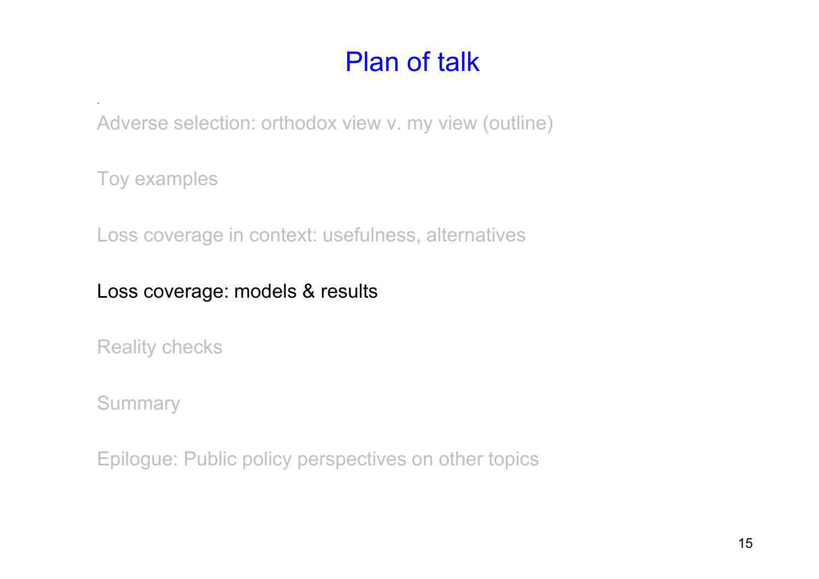Adverse selection: orthodox view v. my view (outline)

Toy examples

.

Loss coverage in context: usefulness, alternatives

#### Loss coverage: models & results

Reality checks

**Summary**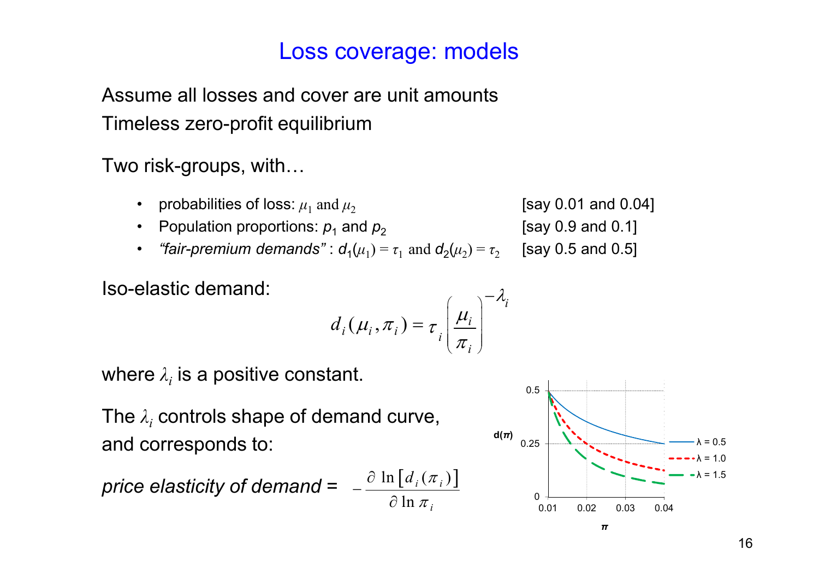#### Loss coverage: models

Assume all losses and cover are unit amounts Timeless zero-profit equilibrium

Two risk-groups, with...

- probabilities of loss:  $\mu_1$  and  $\mu_2$ [say 0.01 and 0.04]
- Population proportions:  $p_1$  and  $p_2$
- *"fair-premium demands"* :  $\boldsymbol{d}_1(\mu_1) = \tau_1 \text{ and } \boldsymbol{d}_2(\mu_2) = \tau_2$ [say 0.5 and 0.5]

Iso-elastic demand:

$$
d_i(\mu_i, \pi_i) = \tau_i \left(\frac{\mu_i}{\pi_i}\right)^{-\lambda_i}
$$

where  $\lambda_i$  is a positive constant.

The *λ<sup>i</sup>* controls shape of demand curve, and corresponds to:

$$
\text{price elasticity of demand} = -\frac{\partial \ln \left[ d_i(\pi_i) \right]}{\partial \ln \pi_i}
$$



[say 0.9 and 0.1]

*i*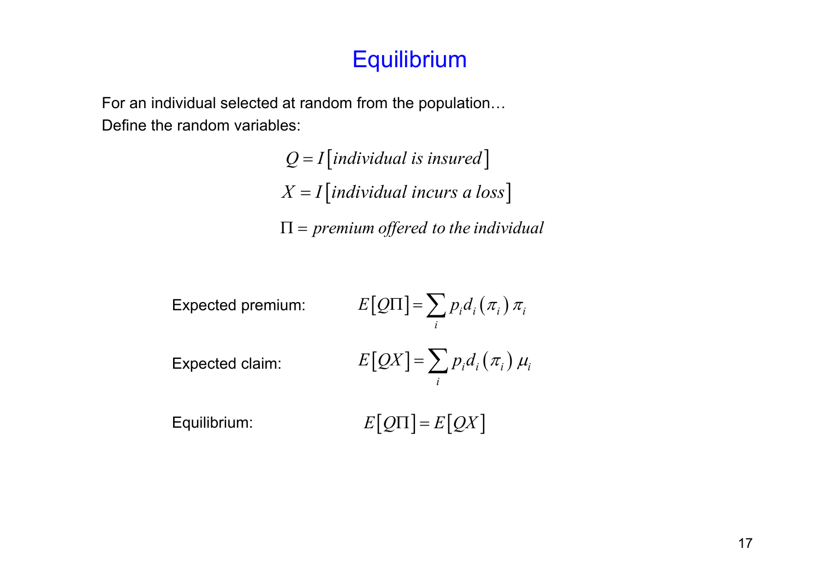#### **Equilibrium**

For an individual selected at random from the population... Define the random variables:

> $Q = I$ [*individual is insured*]  $X = I$ [*individual incurs a loss*] Π = *premium offered to the individual*

| Expected premium: | $E[Q\Pi] = \sum p_i d_i(\pi_i) \pi_i$ |
|-------------------|---------------------------------------|
| Expected claim:   | $E[QX] = \sum p_i d_i(\pi_i) \mu_i$   |
| Equilibrium:      | $E[Q\Pi] = E[QX]$                     |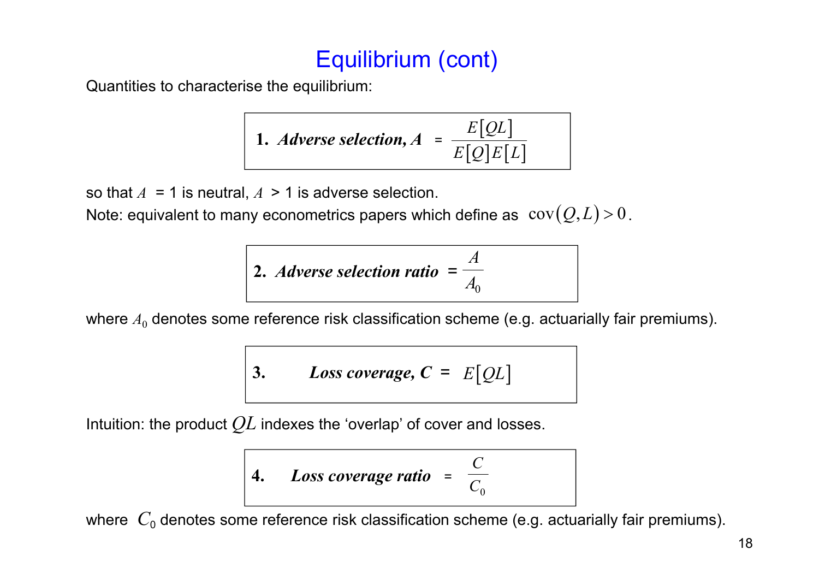#### Equilibrium (cont)

Quantities to characterise the equilibrium:

1. *Adverse selection*, 
$$
A = \frac{E[QL]}{E[Q]E[L]}
$$

so that  $A = 1$  is neutral,  $A > 1$  is adverse selection.

Note: equivalent to many econometrics papers which define as  $\text{ cov}({\mathcal Q},L) \!>\! 0$  .

2. *Adverse selection ratio* = 
$$
\frac{A}{A_0}
$$

where  $A_0$  denotes some reference risk classification scheme (e.g. actuarially fair premiums).

3. Loss coverage, 
$$
C = E[QL]
$$

Intuition: the product *QL* indexes the 'overlap' of cover and losses.

4. Loss coverage ratio = 
$$
\frac{C}{C_0}
$$

where  $C_0$  denotes some reference risk classification scheme (e.g. actuarially fair premiums).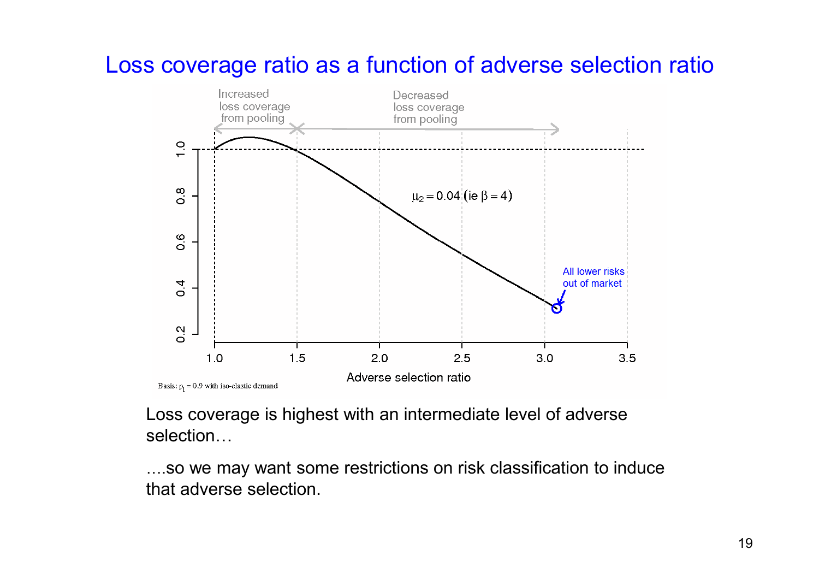#### Loss coverage ratio as a function of adverse selection ratio



Loss coverage is highest with an intermediate level of adverse selection...

....so we may want some restrictions on risk classification to induce that adverse selection.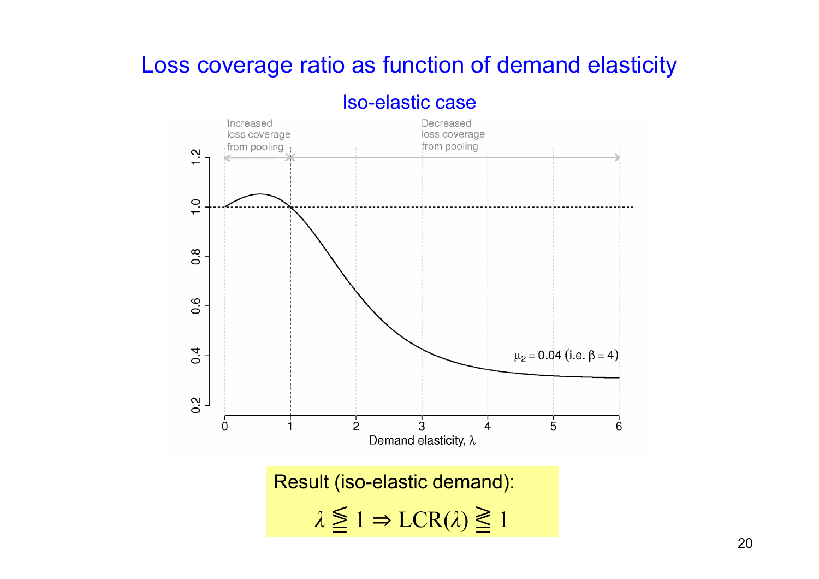#### Loss coverage ratio as function of demand elasticity



#### Iso-elastic case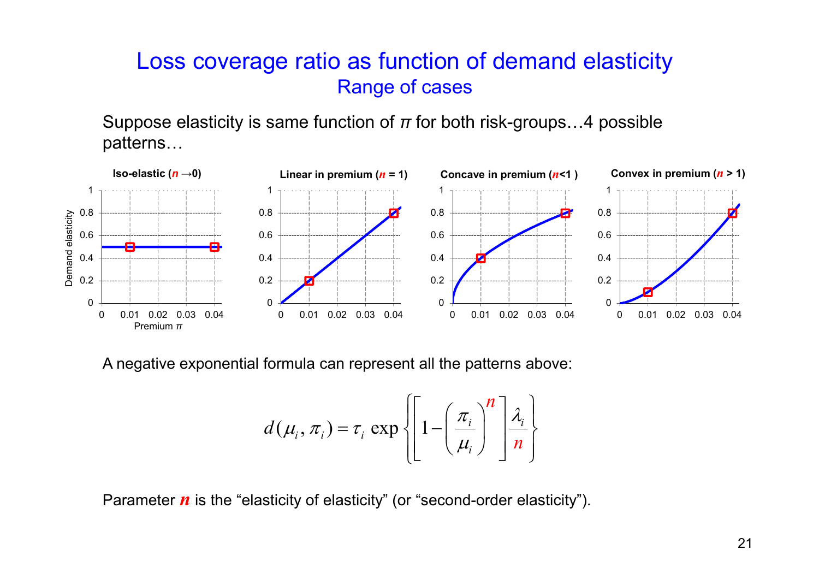#### Loss coverage ratio as function of demand elasticity Range of cases

Suppose elasticity is same function of  $\pi$  for both risk-groups...4 possible patterns...



A negative exponential formula can represent all the patterns above:

$$
d(\mu_i, \pi_i) = \tau_i \exp\left\{ \left[ 1 - \left( \frac{\pi_i}{\mu_i} \right)^n \right] \frac{\lambda_i}{n} \right\}
$$

Parameter *n* is the "elasticity of elasticity" (or "second-order elasticity").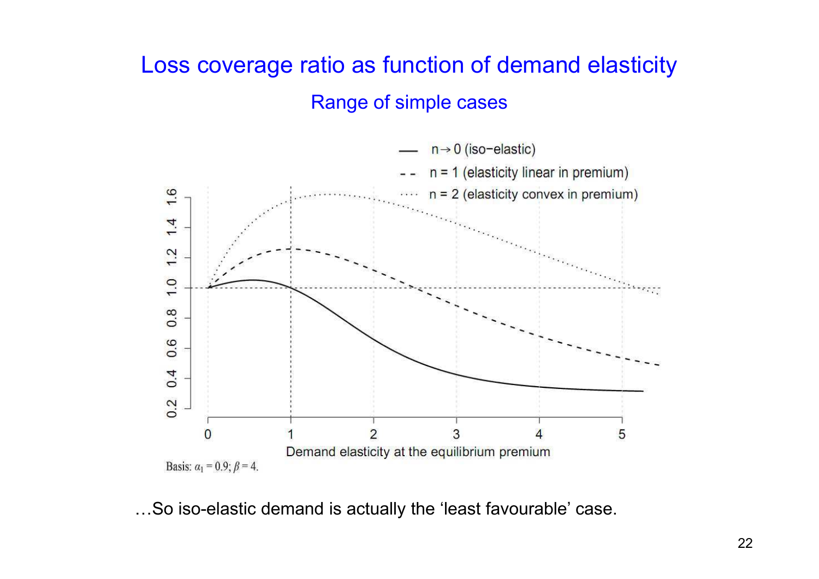#### Loss coverage ratio as function of demand elasticity Range of simple cases



...So iso-elastic demand is actually the 'least favourable' case.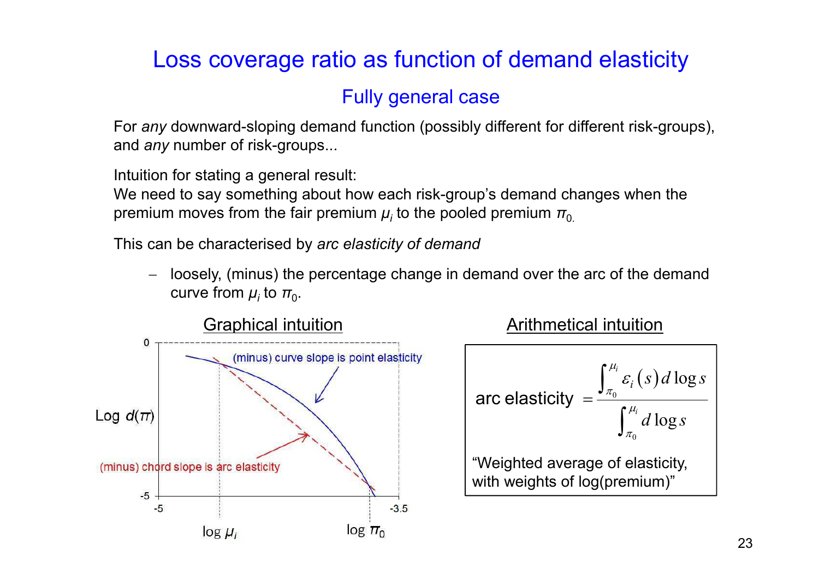#### Loss coverage ratio as function of demand elasticity

#### Fully general case

For *any* downward-sloping demand function (possibly different for different risk-groups), and *any* number of risk-groups...

Intuition for stating a general result:

We need to say something about how each risk-group's demand changes when the premium moves from the fair premium  $\mu_i$  to the pooled premium  $\pi_{0.}$ 

This can be characterised by *arc elasticity of demand* 

− loosely, (minus) the percentage change in demand over the arc of the demand curve from  $\mu_i$  to  $\pi_{0}$ .



arc elasticity 
$$
= \frac{\int_{\pi_0}^{\mu_i} \varepsilon_i(s) d \log s}{\int_{\pi_0}^{\mu_i} d \log s}
$$
  
"Weighted average of elasticity,  
with weights of log(premium)"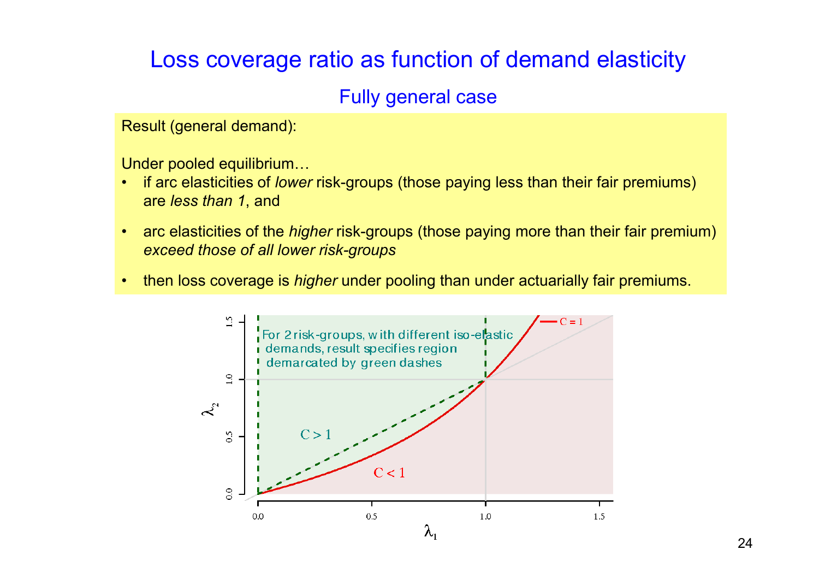#### Loss coverage ratio as function of demand elasticity

#### Fully general case

Result (general demand):

Under pooled equilibrium...

- if arc elasticities of *lower* risk-groups (those paying less than their fair premiums) are *less than 1*, and
- arc elasticities of the *higher* risk-groups (those paying more than their fair premium) *exceed those of all lower risk-groups*
- then loss coverage is *higher* under pooling than under actuarially fair premiums.

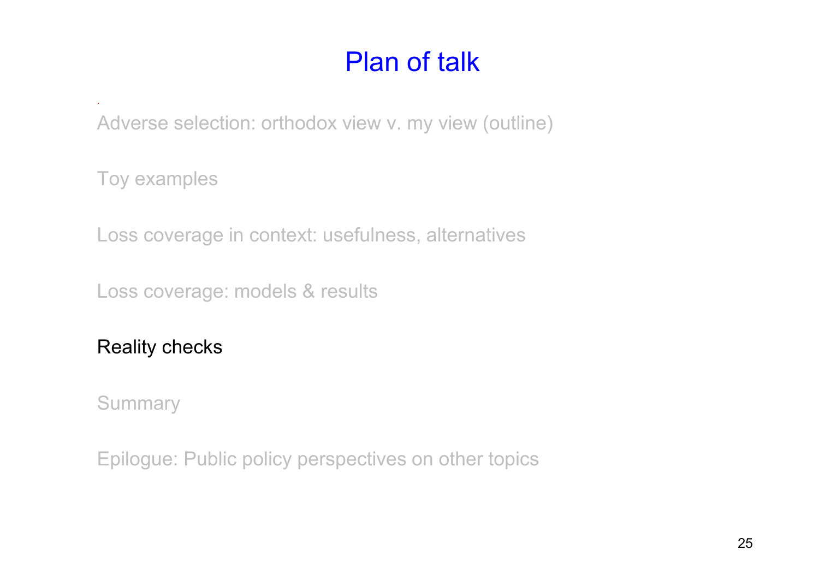Adverse selection: orthodox view v. my view (outline)

Toy examples

.

Loss coverage in context: usefulness, alternatives

Loss coverage: models & results

Reality checks

**Summary**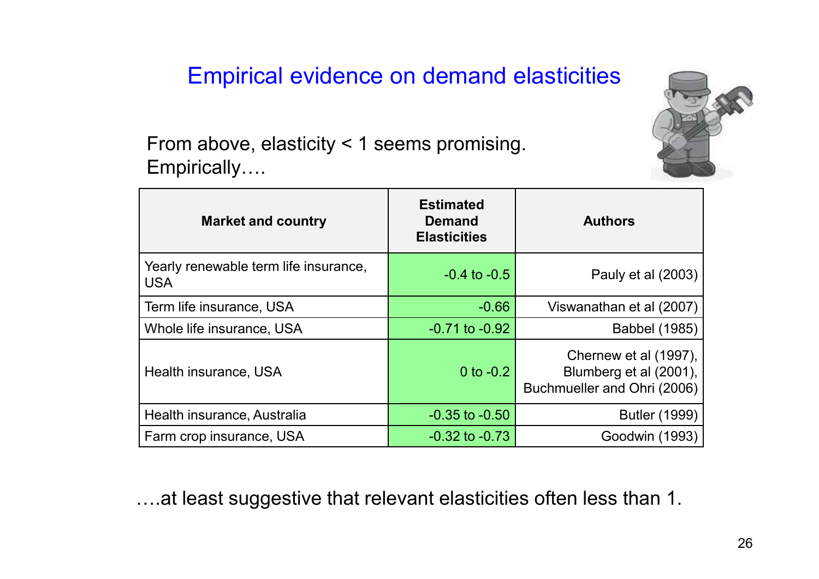#### Empirical evidence on demand elasticities



From above, elasticity < 1 seems promising. Empirically....

| <b>Market and country</b>                           | <b>Estimated</b><br><b>Demand</b><br><b>Elasticities</b> | <b>Authors</b>                                                                 |
|-----------------------------------------------------|----------------------------------------------------------|--------------------------------------------------------------------------------|
| Yearly renewable term life insurance,<br><b>USA</b> | $-0.4$ to $-0.5$                                         | Pauly et al (2003)                                                             |
| Term life insurance, USA                            | $-0.66$                                                  | Viswanathan et al (2007)                                                       |
| Whole life insurance, USA                           | $-0.71$ to $-0.92$                                       | Babbel (1985)                                                                  |
| Health insurance, USA                               | 0 to $-0.2$                                              | Chernew et al (1997),<br>Blumberg et al (2001),<br>Buchmueller and Ohri (2006) |
| Health insurance, Australia                         | $-0.35$ to $-0.50$                                       | <b>Butler (1999)</b>                                                           |
| Farm crop insurance, USA                            | $-0.32$ to $-0.73$                                       | Goodwin (1993)                                                                 |

...at least suggestive that relevant elasticities often less than 1.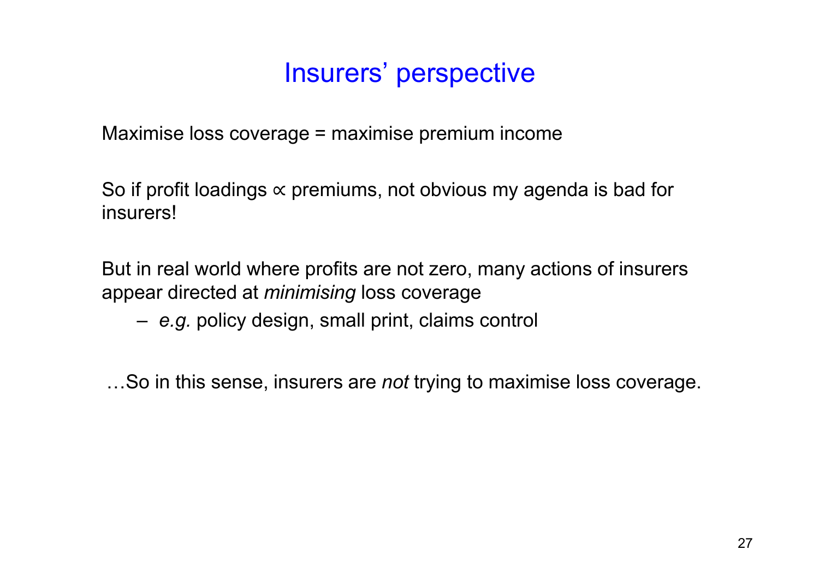### Insurers' perspective

Maximise loss coverage = maximise premium income

So if profit loadings  $\propto$  premiums, not obvious my agenda is bad for insurers!

But in real world where profits are not zero, many actions of insurers appear directed at *minimising* loss coverage

– *e.g.* policy design, small print, claims control

...So in this sense, insurers are *not* trying to maximise loss coverage.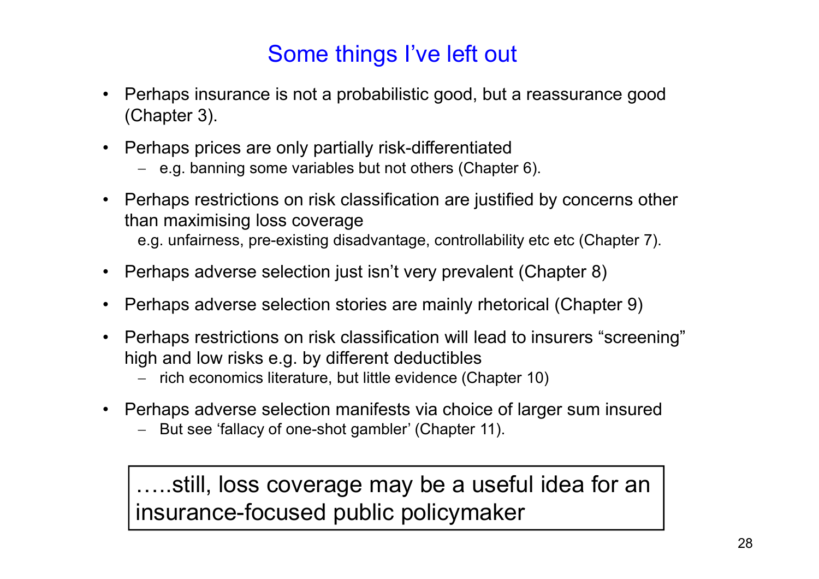#### Some things I've left out

- Perhaps insurance is not a probabilistic good, but a reassurance good (Chapter 3).
- Perhaps prices are only partially risk-differentiated
	- − e.g. banning some variables but not others (Chapter 6).
- Perhaps restrictions on risk classification are justified by concerns other than maximising loss coverage e.g. unfairness, pre-existing disadvantage, controllability etc etc (Chapter 7).
- Perhaps adverse selection just isn't very prevalent (Chapter 8)
- Perhaps adverse selection stories are mainly rhetorical (Chapter 9)
- Perhaps restrictions on risk classification will lead to insurers "screening" high and low risks e.g. by different deductibles
	- − rich economics literature, but little evidence (Chapter 10)
- Perhaps adverse selection manifests via choice of larger sum insured
	- − But see 'fallacy of one-shot gambler' (Chapter 11).

....still, loss coverage may be a useful idea for an insurance-focused public policymaker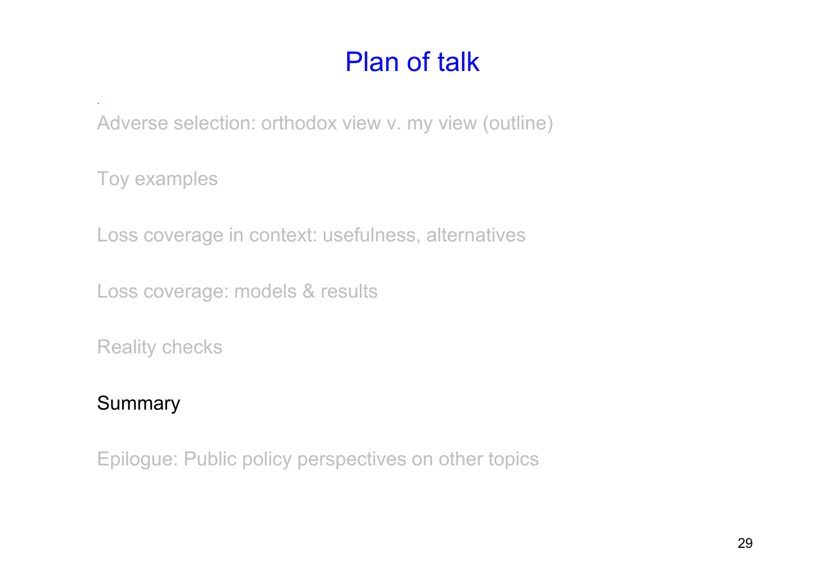Adverse selection: orthodox view v. my view (outline)

Toy examples

.

Loss coverage in context: usefulness, alternatives

Loss coverage: models & results

Reality checks

#### **Summary**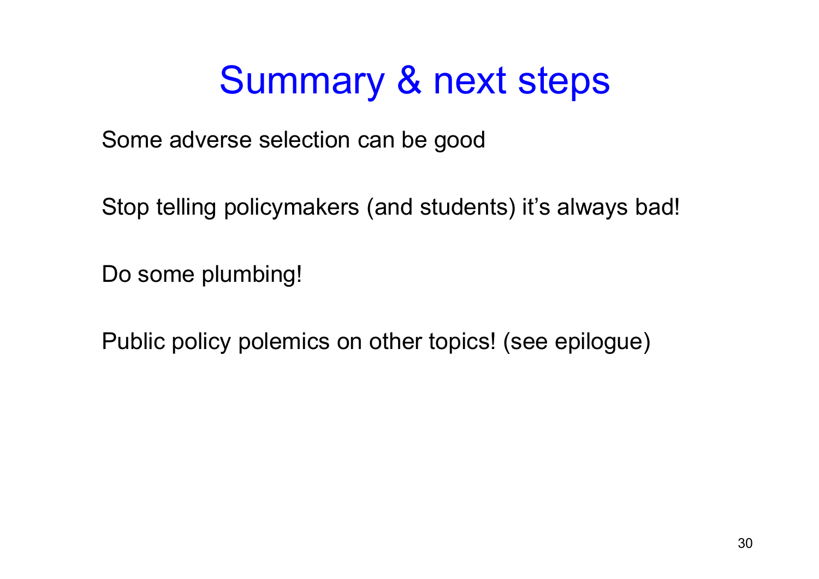## Summary & next steps

Some adverse selection can be good

Stop telling policymakers (and students) it's always bad!

Do some plumbing!

Public policy polemics on other topics! (see epilogue)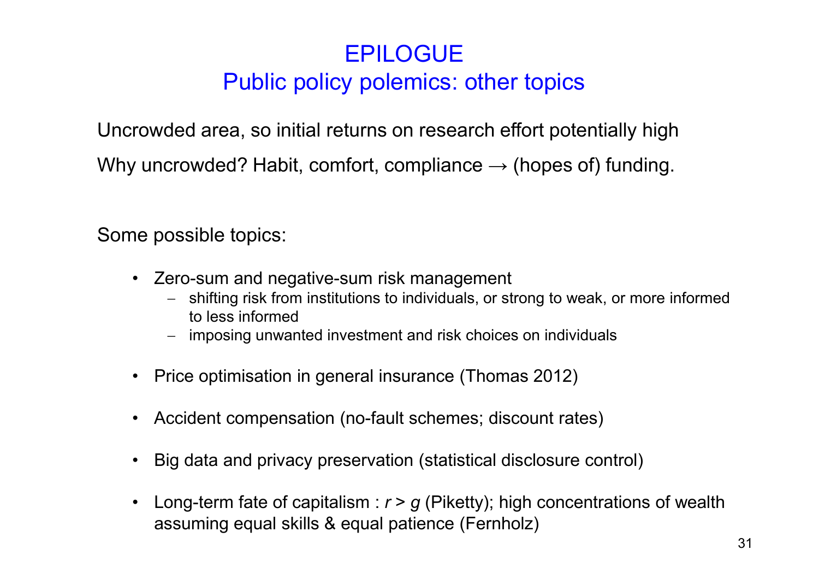#### EPILOGUE Public policy polemics: other topics

Uncrowded area, so initial returns on research effort potentially high Why uncrowded? Habit, comfort, compliance  $\rightarrow$  (hopes of) funding.

Some possible topics:

- Zero-sum and negative-sum risk management
	- − shifting risk from institutions to individuals, or strong to weak, or more informed to less informed
	- − imposing unwanted investment and risk choices on individuals
- Price optimisation in general insurance (Thomas 2012)
- Accident compensation (no-fault schemes; discount rates)
- Big data and privacy preservation (statistical disclosure control)
- Long-term fate of capitalism : *r* > *g* (Piketty); high concentrations of wealth assuming equal skills & equal patience (Fernholz)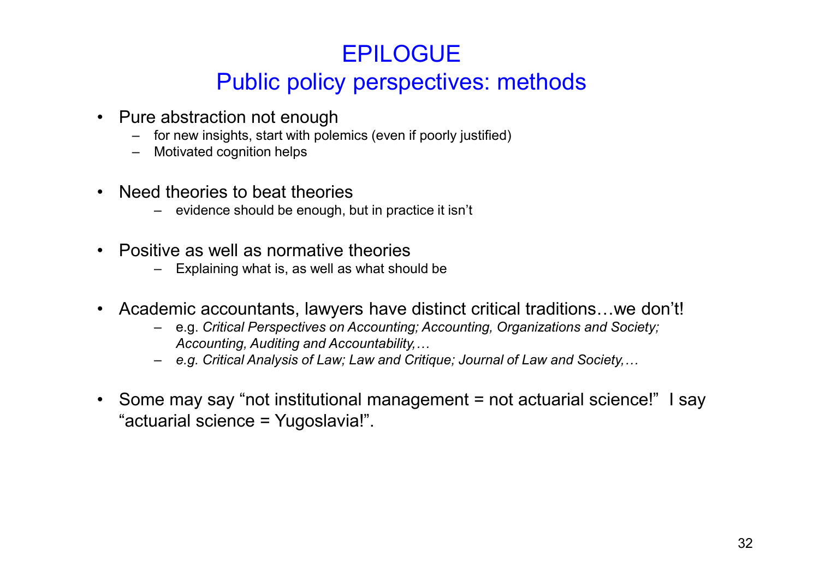#### EPILOGUE Public policy perspectives: methods

- Pure abstraction not enough
	- for new insights, start with polemics (even if poorly justified)
	- Motivated cognition helps
- Need theories to beat theories
	- evidence should be enough, but in practice it isn't
- Positive as well as normative theories
	- Explaining what is, as well as what should be
- Academic accountants, lawyers have distinct critical traditions...we don't!
	- e.g. *Critical Perspectives on Accounting; Accounting, Organizations and Society; Accounting, Auditing and Accountability,*
	- *e.g. Critical Analysis of Law; Law and Critique; Journal of Law and Society,*
- Some may say "not institutional management = not actuarial science!" I say "actuarial science = Yugoslavia!".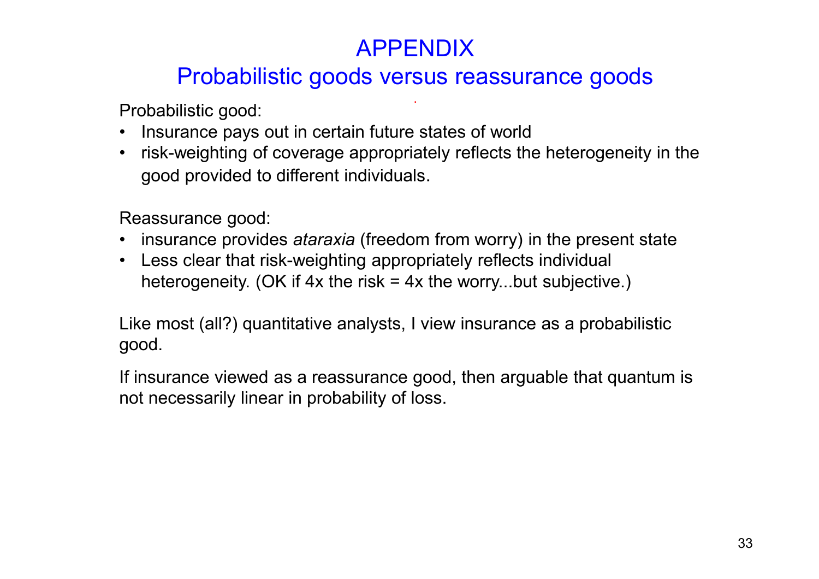#### APPENDIX

#### Probabilistic goods versus reassurance goods

.

Probabilistic good:

- Insurance pays out in certain future states of world
- risk-weighting of coverage appropriately reflects the heterogeneity in the good provided to different individuals.

Reassurance good:

- insurance provides *ataraxia* (freedom from worry) in the present state
- Less clear that risk-weighting appropriately reflects individual heterogeneity. (OK if  $4x$  the risk =  $4x$  the worry...but subjective.)

Like most (all?) quantitative analysts, I view insurance as a probabilistic good.

If insurance viewed as a reassurance good, then arguable that quantum is not necessarily linear in probability of loss.